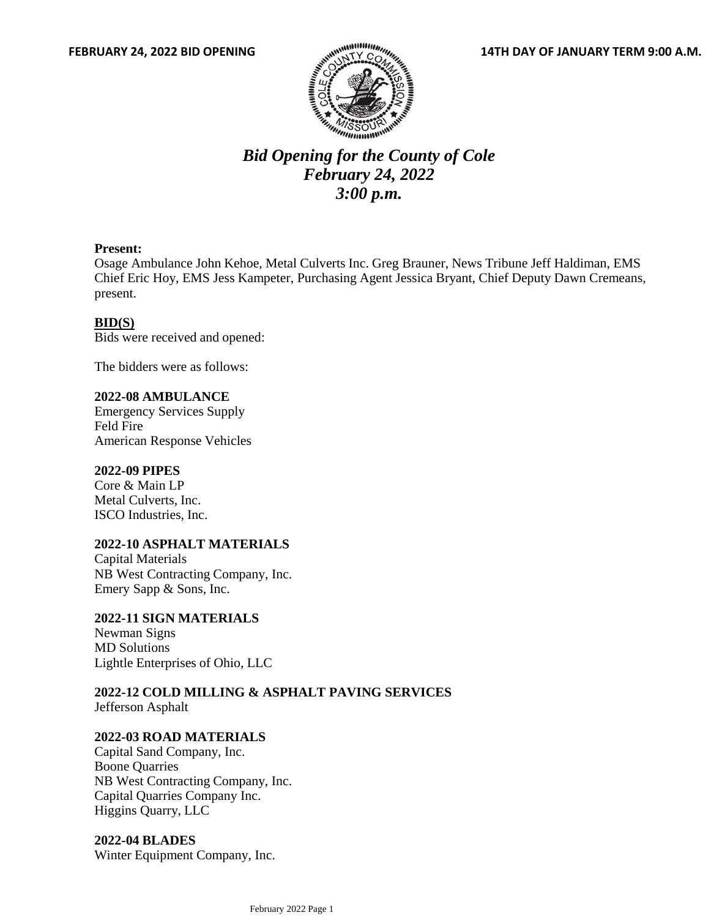

# *Bid Opening for the County of Cole February 24, 2022 3:00 p.m.*

#### **Present:**

Osage Ambulance John Kehoe, Metal Culverts Inc. Greg Brauner, News Tribune Jeff Haldiman, EMS Chief Eric Hoy, EMS Jess Kampeter, Purchasing Agent Jessica Bryant, Chief Deputy Dawn Cremeans, present.

#### **BID(S)**

Bids were received and opened:

The bidders were as follows:

# **2022-08 AMBULANCE**

Emergency Services Supply Feld Fire American Response Vehicles

#### **2022-09 PIPES**

Core & Main LP Metal Culverts, Inc. ISCO Industries, Inc.

#### **2022-10 ASPHALT MATERIALS**

Capital Materials NB West Contracting Company, Inc. Emery Sapp & Sons, Inc.

#### **2022-11 SIGN MATERIALS**

Newman Signs MD Solutions Lightle Enterprises of Ohio, LLC

**2022-12 COLD MILLING & ASPHALT PAVING SERVICES** Jefferson Asphalt

#### **2022-03 ROAD MATERIALS**

Capital Sand Company, Inc. Boone Quarries NB West Contracting Company, Inc. Capital Quarries Company Inc. Higgins Quarry, LLC

**2022-04 BLADES** Winter Equipment Company, Inc.